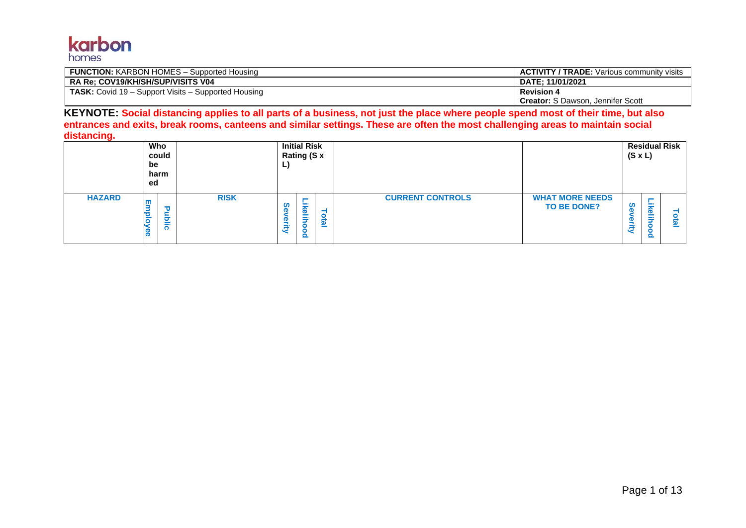

| <b>FUNCTION:</b> KARBON HOMES – Supported Housing          | <b>ACTIVITY / TRADE:</b> Various community visits |
|------------------------------------------------------------|---------------------------------------------------|
| RA Re: COV19/KH/SH/SUP/VISITS V04                          | DATE: 11/01/2021                                  |
| <b>TASK:</b> Covid 19 – Support Visits – Supported Housing | <b>Revision 4</b>                                 |
|                                                            | <b>Creator:</b> S Dawson, Jennifer Scott          |

**KEYNOTE: Social distancing applies to all parts of a business, not just the place where people spend most of their time, but also entrances and exits, break rooms, canteens and similar settings. These are often the most challenging areas to maintain social distancing.**

|               | Who<br>could<br>be<br>harm<br>ed |             |                                     | <b>Initial Risk</b><br>Rating (S x |               |                         |                                              | <b>Residual Risk</b><br>$(S \times L)$ |                     |    |
|---------------|----------------------------------|-------------|-------------------------------------|------------------------------------|---------------|-------------------------|----------------------------------------------|----------------------------------------|---------------------|----|
| <b>HAZARD</b> | $\mathbf \sigma$<br><b>ublic</b> | <b>RISK</b> | <b>CD</b><br>$\mathbf{D}$<br>œ<br>ت | ₩<br>⌒<br>elit<br>$\frac{8}{2}$    | ota<br>$\sim$ | <b>CURRENT CONTROLS</b> | <b>WHAT MORE NEEDS</b><br><b>TO BE DONE?</b> | <u>ທ</u><br>Ð<br>œ<br>⇒<br>ぎ           | <b>D</b><br>∸<br>m. | נם |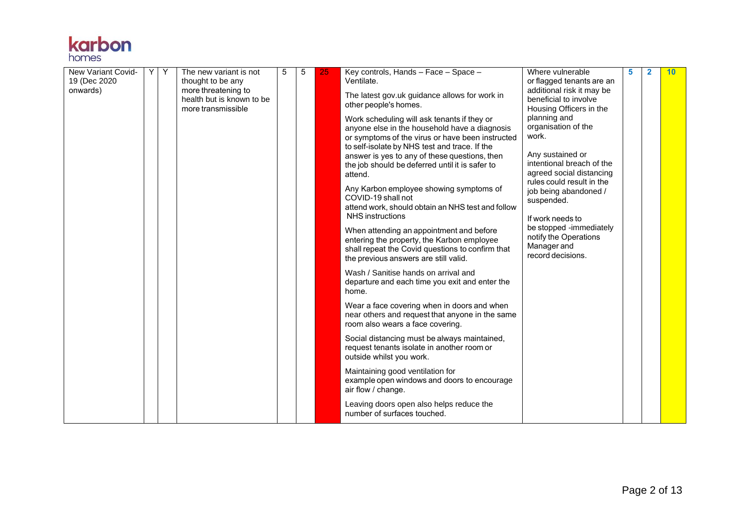

| <b>New Variant Covid-</b><br>19 (Dec 2020)<br>onwards) | Y | Y | The new variant is not<br>thought to be any<br>more threatening to<br>health but is known to be<br>more transmissible | 5 | 5 | 25 | Key controls, Hands - Face - Space -<br>Ventilate.<br>The latest gov.uk guidance allows for work in<br>other people's homes.<br>Work scheduling will ask tenants if they or<br>anyone else in the household have a diagnosis<br>or symptoms of the virus or have been instructed<br>to self-isolate by NHS test and trace. If the<br>answer is yes to any of these questions, then<br>the job should be deferred until it is safer to<br>attend.<br>Any Karbon employee showing symptoms of<br>COVID-19 shall not<br>attend work, should obtain an NHS test and follow<br><b>NHS</b> instructions<br>When attending an appointment and before<br>entering the property, the Karbon employee<br>shall repeat the Covid questions to confirm that<br>the previous answers are still valid.<br>Wash / Sanitise hands on arrival and<br>departure and each time you exit and enter the<br>home.<br>Wear a face covering when in doors and when<br>near others and request that anyone in the same<br>room also wears a face covering.<br>Social distancing must be always maintained,<br>request tenants isolate in another room or<br>outside whilst you work.<br>Maintaining good ventilation for<br>example open windows and doors to encourage<br>air flow / change. | Where vulnerable<br>or flagged tenants are an<br>additional risk it may be<br>beneficial to involve<br>Housing Officers in the<br>planning and<br>organisation of the<br>work.<br>Any sustained or<br>intentional breach of the<br>agreed social distancing<br>rules could result in the<br>job being abandoned /<br>suspended.<br>If work needs to<br>be stopped -immediately<br>notify the Operations<br>Manager and<br>record decisions. | 5 | $\overline{2}$ | 10 |
|--------------------------------------------------------|---|---|-----------------------------------------------------------------------------------------------------------------------|---|---|----|----------------------------------------------------------------------------------------------------------------------------------------------------------------------------------------------------------------------------------------------------------------------------------------------------------------------------------------------------------------------------------------------------------------------------------------------------------------------------------------------------------------------------------------------------------------------------------------------------------------------------------------------------------------------------------------------------------------------------------------------------------------------------------------------------------------------------------------------------------------------------------------------------------------------------------------------------------------------------------------------------------------------------------------------------------------------------------------------------------------------------------------------------------------------------------------------------------------------------------------------------------------------|---------------------------------------------------------------------------------------------------------------------------------------------------------------------------------------------------------------------------------------------------------------------------------------------------------------------------------------------------------------------------------------------------------------------------------------------|---|----------------|----|
|                                                        |   |   |                                                                                                                       |   |   |    | Leaving doors open also helps reduce the<br>number of surfaces touched.                                                                                                                                                                                                                                                                                                                                                                                                                                                                                                                                                                                                                                                                                                                                                                                                                                                                                                                                                                                                                                                                                                                                                                                              |                                                                                                                                                                                                                                                                                                                                                                                                                                             |   |                |    |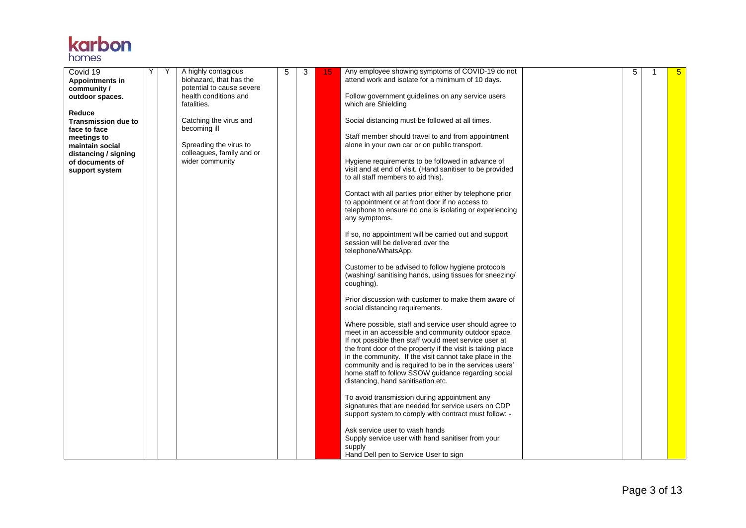

| Covid 19<br>Appointments in                               | Υ | Y | A highly contagious<br>biohazard, that has the                    | 5 | 3 | 15 | Any employee showing symptoms of COVID-19 do not<br>attend work and isolate for a minimum of 10 days.                                                                                                                                                                                                                                                                                                                                                  | 5 | 1 | 5 <sup>5</sup> |
|-----------------------------------------------------------|---|---|-------------------------------------------------------------------|---|---|----|--------------------------------------------------------------------------------------------------------------------------------------------------------------------------------------------------------------------------------------------------------------------------------------------------------------------------------------------------------------------------------------------------------------------------------------------------------|---|---|----------------|
| community /<br>outdoor spaces.                            |   |   | potential to cause severe<br>health conditions and<br>fatalities. |   |   |    | Follow government guidelines on any service users<br>which are Shielding                                                                                                                                                                                                                                                                                                                                                                               |   |   |                |
| Reduce<br><b>Transmission due to</b><br>face to face      |   |   | Catching the virus and<br>becoming ill                            |   |   |    | Social distancing must be followed at all times.                                                                                                                                                                                                                                                                                                                                                                                                       |   |   |                |
| meetings to<br>maintain social                            |   |   | Spreading the virus to<br>colleagues, family and or               |   |   |    | Staff member should travel to and from appointment<br>alone in your own car or on public transport.                                                                                                                                                                                                                                                                                                                                                    |   |   |                |
| distancing / signing<br>of documents of<br>support system |   |   | wider community                                                   |   |   |    | Hygiene requirements to be followed in advance of<br>visit and at end of visit. (Hand sanitiser to be provided<br>to all staff members to aid this).                                                                                                                                                                                                                                                                                                   |   |   |                |
|                                                           |   |   |                                                                   |   |   |    | Contact with all parties prior either by telephone prior<br>to appointment or at front door if no access to<br>telephone to ensure no one is isolating or experiencing<br>any symptoms.                                                                                                                                                                                                                                                                |   |   |                |
|                                                           |   |   |                                                                   |   |   |    | If so, no appointment will be carried out and support<br>session will be delivered over the<br>telephone/WhatsApp.                                                                                                                                                                                                                                                                                                                                     |   |   |                |
|                                                           |   |   |                                                                   |   |   |    | Customer to be advised to follow hygiene protocols<br>(washing/sanitising hands, using tissues for sneezing/<br>coughing).                                                                                                                                                                                                                                                                                                                             |   |   |                |
|                                                           |   |   |                                                                   |   |   |    | Prior discussion with customer to make them aware of<br>social distancing requirements.                                                                                                                                                                                                                                                                                                                                                                |   |   |                |
|                                                           |   |   |                                                                   |   |   |    | Where possible, staff and service user should agree to<br>meet in an accessible and community outdoor space.<br>If not possible then staff would meet service user at<br>the front door of the property if the visit is taking place<br>in the community. If the visit cannot take place in the<br>community and is required to be in the services users'<br>home staff to follow SSOW guidance regarding social<br>distancing, hand sanitisation etc. |   |   |                |
|                                                           |   |   |                                                                   |   |   |    | To avoid transmission during appointment any<br>signatures that are needed for service users on CDP<br>support system to comply with contract must follow: -                                                                                                                                                                                                                                                                                           |   |   |                |
|                                                           |   |   |                                                                   |   |   |    | Ask service user to wash hands<br>Supply service user with hand sanitiser from your<br>supply<br>Hand Dell pen to Service User to sign                                                                                                                                                                                                                                                                                                                 |   |   |                |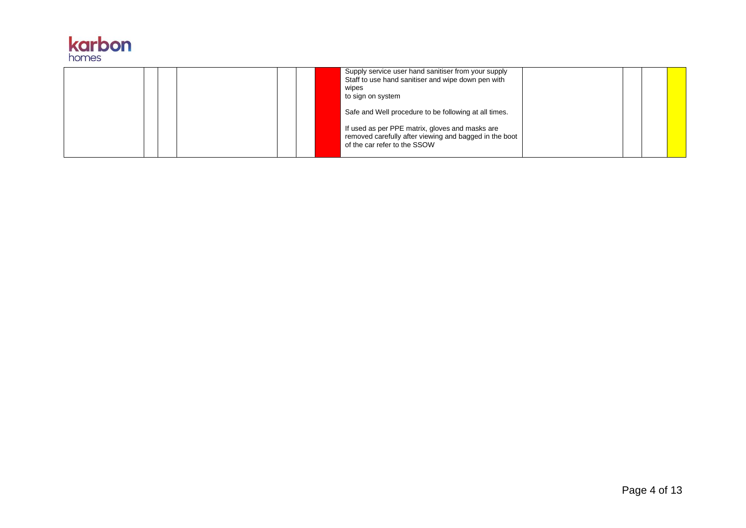

|  | Supply service user hand sanitiser from your supply<br>Staff to use hand sanitiser and wipe down pen with<br>wipes<br>to sign on system<br>Safe and Well procedure to be following at all times. |  |  |
|--|--------------------------------------------------------------------------------------------------------------------------------------------------------------------------------------------------|--|--|
|  | If used as per PPE matrix, gloves and masks are<br>removed carefully after viewing and bagged in the boot<br>of the car refer to the SSOW                                                        |  |  |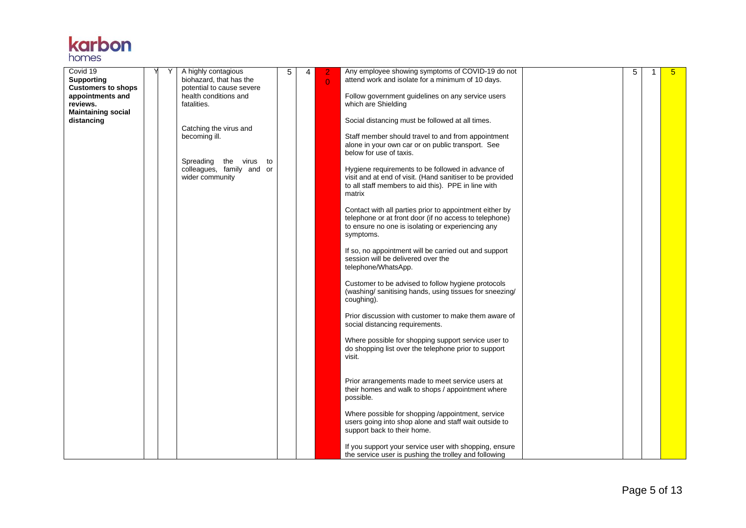

| Covid 19<br><b>Supporting</b>                             |  | A highly contagious<br>biohazard, that has the                            | 5 | 4 | $\overline{0}$ | Any employee showing symptoms of COVID-19 do not<br>attend work and isolate for a minimum of 10 days.                                                                               | 5 | $\mathbf{1}$ | $5\overline{)}$ |
|-----------------------------------------------------------|--|---------------------------------------------------------------------------|---|---|----------------|-------------------------------------------------------------------------------------------------------------------------------------------------------------------------------------|---|--------------|-----------------|
| <b>Customers to shops</b><br>appointments and<br>reviews. |  | potential to cause severe<br>health conditions and<br>fatalities.         |   |   |                | Follow government guidelines on any service users<br>which are Shielding                                                                                                            |   |              |                 |
| <b>Maintaining social</b><br>distancing                   |  | Catching the virus and                                                    |   |   |                | Social distancing must be followed at all times.                                                                                                                                    |   |              |                 |
|                                                           |  | becoming ill.                                                             |   |   |                | Staff member should travel to and from appointment<br>alone in your own car or on public transport. See<br>below for use of taxis.                                                  |   |              |                 |
|                                                           |  | Spreading<br>the virus to<br>colleagues, family and or<br>wider community |   |   |                | Hygiene requirements to be followed in advance of<br>visit and at end of visit. (Hand sanitiser to be provided<br>to all staff members to aid this). PPE in line with<br>matrix     |   |              |                 |
|                                                           |  |                                                                           |   |   |                | Contact with all parties prior to appointment either by<br>telephone or at front door (if no access to telephone)<br>to ensure no one is isolating or experiencing any<br>symptoms. |   |              |                 |
|                                                           |  |                                                                           |   |   |                | If so, no appointment will be carried out and support<br>session will be delivered over the<br>telephone/WhatsApp.                                                                  |   |              |                 |
|                                                           |  |                                                                           |   |   |                | Customer to be advised to follow hygiene protocols<br>(washing/sanitising hands, using tissues for sneezing/<br>coughing).                                                          |   |              |                 |
|                                                           |  |                                                                           |   |   |                | Prior discussion with customer to make them aware of<br>social distancing requirements.                                                                                             |   |              |                 |
|                                                           |  |                                                                           |   |   |                | Where possible for shopping support service user to<br>do shopping list over the telephone prior to support<br>visit.                                                               |   |              |                 |
|                                                           |  |                                                                           |   |   |                | Prior arrangements made to meet service users at<br>their homes and walk to shops / appointment where<br>possible.                                                                  |   |              |                 |
|                                                           |  |                                                                           |   |   |                | Where possible for shopping /appointment, service<br>users going into shop alone and staff wait outside to<br>support back to their home.                                           |   |              |                 |
|                                                           |  |                                                                           |   |   |                | If you support your service user with shopping, ensure<br>the service user is pushing the trolley and following                                                                     |   |              |                 |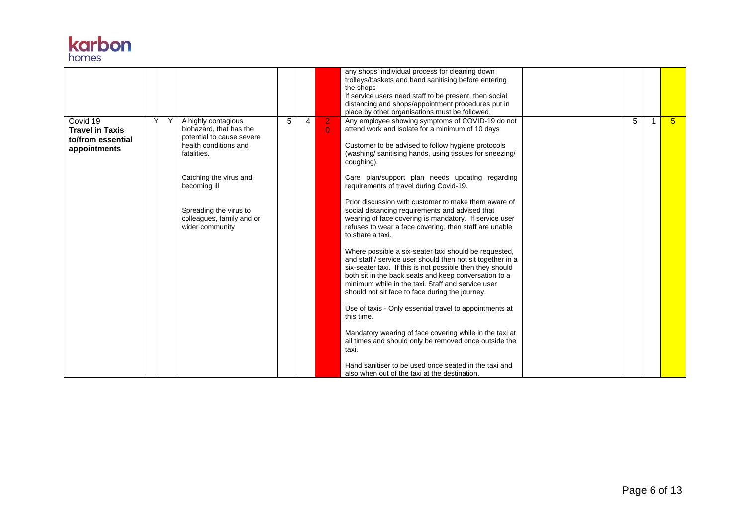

|                                                                         |  |                                                                                                                                                                                                                                         |   |                |                                  | any shops' individual process for cleaning down<br>trolleys/baskets and hand sanitising before entering<br>the shops<br>If service users need staff to be present, then social<br>distancing and shops/appointment procedures put in<br>place by other organisations must be followed.                                                                                                                                                                                                                                                                                                                                                                                                                                                                                                                                                                                                                                                                                                                            |   |                |
|-------------------------------------------------------------------------|--|-----------------------------------------------------------------------------------------------------------------------------------------------------------------------------------------------------------------------------------------|---|----------------|----------------------------------|-------------------------------------------------------------------------------------------------------------------------------------------------------------------------------------------------------------------------------------------------------------------------------------------------------------------------------------------------------------------------------------------------------------------------------------------------------------------------------------------------------------------------------------------------------------------------------------------------------------------------------------------------------------------------------------------------------------------------------------------------------------------------------------------------------------------------------------------------------------------------------------------------------------------------------------------------------------------------------------------------------------------|---|----------------|
| Covid 19<br><b>Travel in Taxis</b><br>to/from essential<br>appointments |  | A highly contagious<br>biohazard, that has the<br>potential to cause severe<br>health conditions and<br>fatalities.<br>Catching the virus and<br>becoming ill<br>Spreading the virus to<br>colleagues, family and or<br>wider community | 5 | $\overline{4}$ | $\overline{2}$<br>$\overline{0}$ | Any employee showing symptoms of COVID-19 do not<br>attend work and isolate for a minimum of 10 days<br>Customer to be advised to follow hygiene protocols<br>(washing/sanitising hands, using tissues for sneezing/<br>coughing).<br>Care plan/support plan needs updating regarding<br>requirements of travel during Covid-19.<br>Prior discussion with customer to make them aware of<br>social distancing requirements and advised that<br>wearing of face covering is mandatory. If service user<br>refuses to wear a face covering, then staff are unable<br>to share a taxi.<br>Where possible a six-seater taxi should be requested,<br>and staff / service user should then not sit together in a<br>six-seater taxi. If this is not possible then they should<br>both sit in the back seats and keep conversation to a<br>minimum while in the taxi. Staff and service user<br>should not sit face to face during the journey.<br>Use of taxis - Only essential travel to appointments at<br>this time. | 5 | 5 <sup>5</sup> |
|                                                                         |  |                                                                                                                                                                                                                                         |   |                |                                  | Mandatory wearing of face covering while in the taxi at<br>all times and should only be removed once outside the<br>taxi.<br>Hand sanitiser to be used once seated in the taxi and<br>also when out of the taxi at the destination.                                                                                                                                                                                                                                                                                                                                                                                                                                                                                                                                                                                                                                                                                                                                                                               |   |                |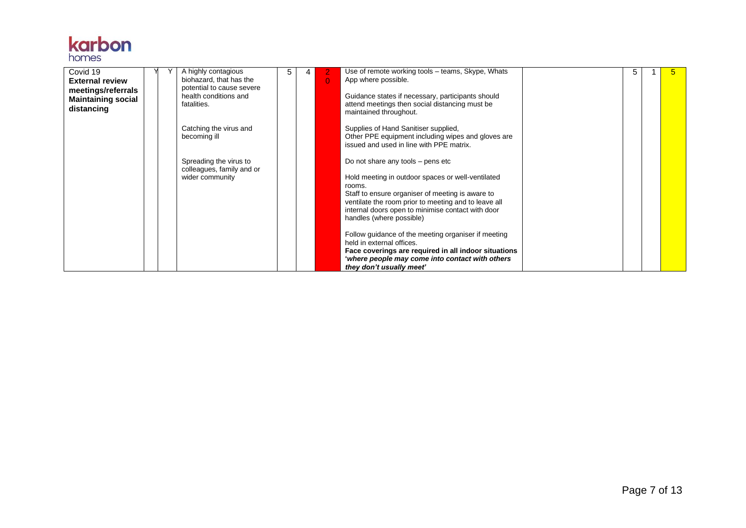

| Covid 19<br><b>External review</b><br>meetings/referrals<br><b>Maintaining social</b><br>distancing |  | A highly contagious<br>biohazard, that has the<br>potential to cause severe<br>health conditions and<br>fatalities. | 5 | $\Omega$ | Use of remote working tools - teams, Skype, Whats<br>App where possible.<br>Guidance states if necessary, participants should<br>attend meetings then social distancing must be<br>maintained throughout.                                                                                       | 5 | 5 |
|-----------------------------------------------------------------------------------------------------|--|---------------------------------------------------------------------------------------------------------------------|---|----------|-------------------------------------------------------------------------------------------------------------------------------------------------------------------------------------------------------------------------------------------------------------------------------------------------|---|---|
|                                                                                                     |  | Catching the virus and<br>becoming ill                                                                              |   |          | Supplies of Hand Sanitiser supplied,<br>Other PPE equipment including wipes and gloves are<br>issued and used in line with PPE matrix.                                                                                                                                                          |   |   |
|                                                                                                     |  | Spreading the virus to<br>colleagues, family and or<br>wider community                                              |   |          | Do not share any tools $-$ pens etc<br>Hold meeting in outdoor spaces or well-ventilated<br>rooms.<br>Staff to ensure organiser of meeting is aware to<br>ventilate the room prior to meeting and to leave all<br>internal doors open to minimise contact with door<br>handles (where possible) |   |   |
|                                                                                                     |  |                                                                                                                     |   |          | Follow guidance of the meeting organiser if meeting<br>held in external offices.<br>Face coverings are required in all indoor situations<br>'where people may come into contact with others<br>they don't usually meet'                                                                         |   |   |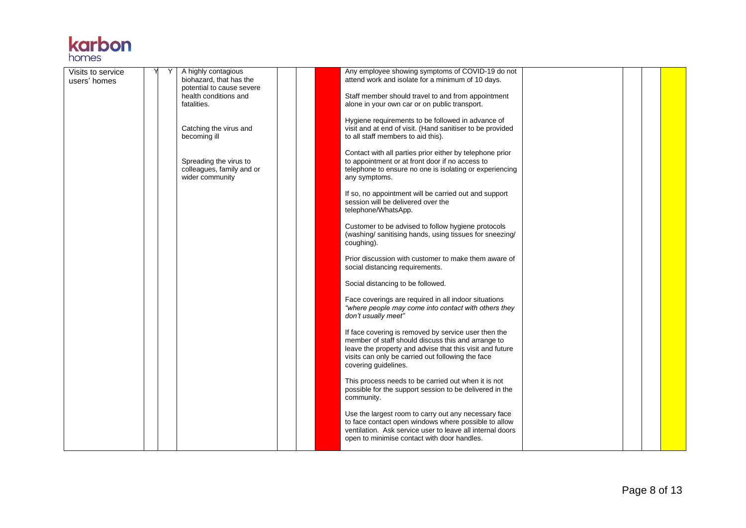

| Visits to service |  | A highly contagious                                  | Any employee showing symptoms of COVID-19 do not                                                                  |  |  |
|-------------------|--|------------------------------------------------------|-------------------------------------------------------------------------------------------------------------------|--|--|
| users' homes      |  | biohazard, that has the<br>potential to cause severe | attend work and isolate for a minimum of 10 days.                                                                 |  |  |
|                   |  | health conditions and                                | Staff member should travel to and from appointment                                                                |  |  |
|                   |  | fatalities.                                          | alone in your own car or on public transport.                                                                     |  |  |
|                   |  |                                                      | Hygiene requirements to be followed in advance of                                                                 |  |  |
|                   |  | Catching the virus and                               | visit and at end of visit. (Hand sanitiser to be provided                                                         |  |  |
|                   |  | becoming ill                                         | to all staff members to aid this).                                                                                |  |  |
|                   |  |                                                      | Contact with all parties prior either by telephone prior                                                          |  |  |
|                   |  | Spreading the virus to<br>colleagues, family and or  | to appointment or at front door if no access to<br>telephone to ensure no one is isolating or experiencing        |  |  |
|                   |  | wider community                                      | any symptoms.                                                                                                     |  |  |
|                   |  |                                                      | If so, no appointment will be carried out and support                                                             |  |  |
|                   |  |                                                      | session will be delivered over the                                                                                |  |  |
|                   |  |                                                      | telephone/WhatsApp.                                                                                               |  |  |
|                   |  |                                                      | Customer to be advised to follow hygiene protocols                                                                |  |  |
|                   |  |                                                      | (washing/sanitising hands, using tissues for sneezing/                                                            |  |  |
|                   |  |                                                      | coughing).                                                                                                        |  |  |
|                   |  |                                                      | Prior discussion with customer to make them aware of                                                              |  |  |
|                   |  |                                                      | social distancing requirements.                                                                                   |  |  |
|                   |  |                                                      | Social distancing to be followed.                                                                                 |  |  |
|                   |  |                                                      | Face coverings are required in all indoor situations                                                              |  |  |
|                   |  |                                                      | "where people may come into contact with others they<br>don't usually meet"                                       |  |  |
|                   |  |                                                      |                                                                                                                   |  |  |
|                   |  |                                                      | If face covering is removed by service user then the                                                              |  |  |
|                   |  |                                                      | member of staff should discuss this and arrange to<br>leave the property and advise that this visit and future    |  |  |
|                   |  |                                                      | visits can only be carried out following the face                                                                 |  |  |
|                   |  |                                                      | covering guidelines.                                                                                              |  |  |
|                   |  |                                                      | This process needs to be carried out when it is not                                                               |  |  |
|                   |  |                                                      | possible for the support session to be delivered in the                                                           |  |  |
|                   |  |                                                      | community.                                                                                                        |  |  |
|                   |  |                                                      | Use the largest room to carry out any necessary face                                                              |  |  |
|                   |  |                                                      | to face contact open windows where possible to allow<br>ventilation. Ask service user to leave all internal doors |  |  |
|                   |  |                                                      | open to minimise contact with door handles.                                                                       |  |  |
|                   |  |                                                      |                                                                                                                   |  |  |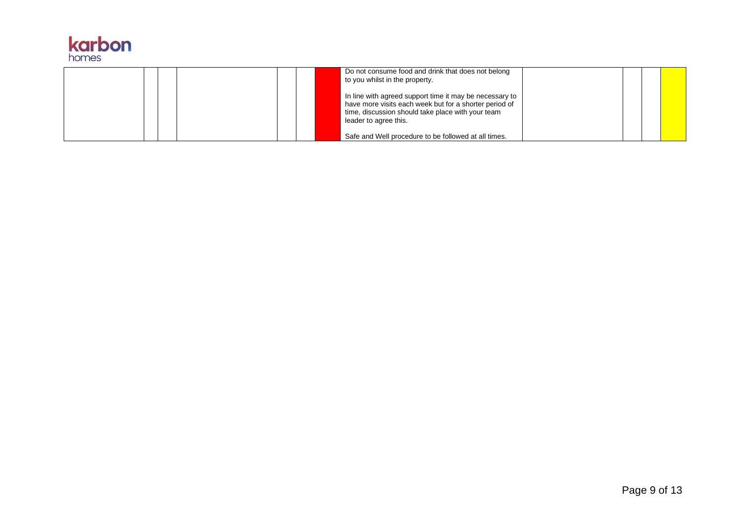

|  |  | Do not consume food and drink that does not belong<br>to you whilst in the property.                                                                                                            |  |  |
|--|--|-------------------------------------------------------------------------------------------------------------------------------------------------------------------------------------------------|--|--|
|  |  | In line with agreed support time it may be necessary to<br>have more visits each week but for a shorter period of<br>time, discussion should take place with your team<br>leader to agree this. |  |  |
|  |  | Safe and Well procedure to be followed at all times.                                                                                                                                            |  |  |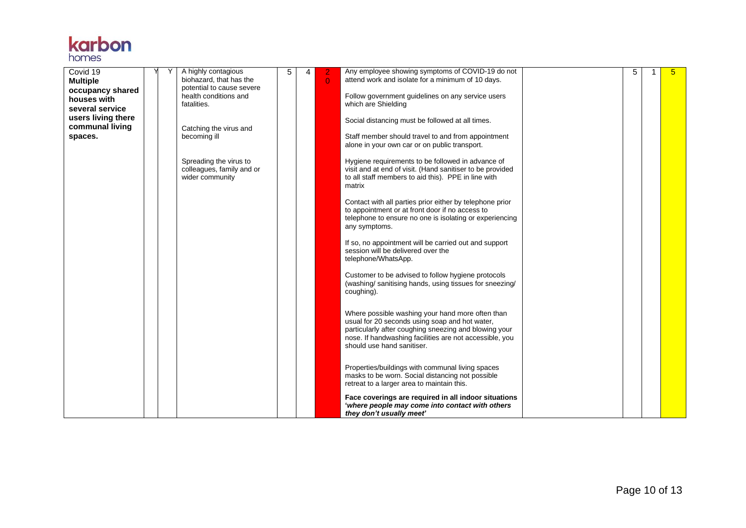

| Covid 19<br><b>Multiple</b><br>occupancy shared<br>houses with<br>several service<br>users living there<br>communal living |  | A highly contagious<br>biohazard, that has the<br>potential to cause severe<br>health conditions and<br>fatalities.<br>Catching the virus and | 5 | 4 | $\overline{0}$ | Any employee showing symptoms of COVID-19 do not<br>attend work and isolate for a minimum of 10 days.<br>Follow government guidelines on any service users<br>which are Shielding<br>Social distancing must be followed at all times.                | 5 | $5\phantom{.0}$ |
|----------------------------------------------------------------------------------------------------------------------------|--|-----------------------------------------------------------------------------------------------------------------------------------------------|---|---|----------------|------------------------------------------------------------------------------------------------------------------------------------------------------------------------------------------------------------------------------------------------------|---|-----------------|
| spaces.                                                                                                                    |  | becoming ill                                                                                                                                  |   |   |                | Staff member should travel to and from appointment<br>alone in your own car or on public transport.                                                                                                                                                  |   |                 |
|                                                                                                                            |  | Spreading the virus to<br>colleagues, family and or<br>wider community                                                                        |   |   |                | Hygiene requirements to be followed in advance of<br>visit and at end of visit. (Hand sanitiser to be provided<br>to all staff members to aid this). PPE in line with<br>matrix                                                                      |   |                 |
|                                                                                                                            |  |                                                                                                                                               |   |   |                | Contact with all parties prior either by telephone prior<br>to appointment or at front door if no access to<br>telephone to ensure no one is isolating or experiencing<br>any symptoms.                                                              |   |                 |
|                                                                                                                            |  |                                                                                                                                               |   |   |                | If so, no appointment will be carried out and support<br>session will be delivered over the<br>telephone/WhatsApp.                                                                                                                                   |   |                 |
|                                                                                                                            |  |                                                                                                                                               |   |   |                | Customer to be advised to follow hygiene protocols<br>(washing/sanitising hands, using tissues for sneezing/<br>coughing).                                                                                                                           |   |                 |
|                                                                                                                            |  |                                                                                                                                               |   |   |                | Where possible washing your hand more often than<br>usual for 20 seconds using soap and hot water,<br>particularly after coughing sneezing and blowing your<br>nose. If handwashing facilities are not accessible, you<br>should use hand sanitiser. |   |                 |
|                                                                                                                            |  |                                                                                                                                               |   |   |                | Properties/buildings with communal living spaces<br>masks to be worn. Social distancing not possible<br>retreat to a larger area to maintain this.                                                                                                   |   |                 |
|                                                                                                                            |  |                                                                                                                                               |   |   |                | Face coverings are required in all indoor situations<br>'where people may come into contact with others<br>they don't usually meet'                                                                                                                  |   |                 |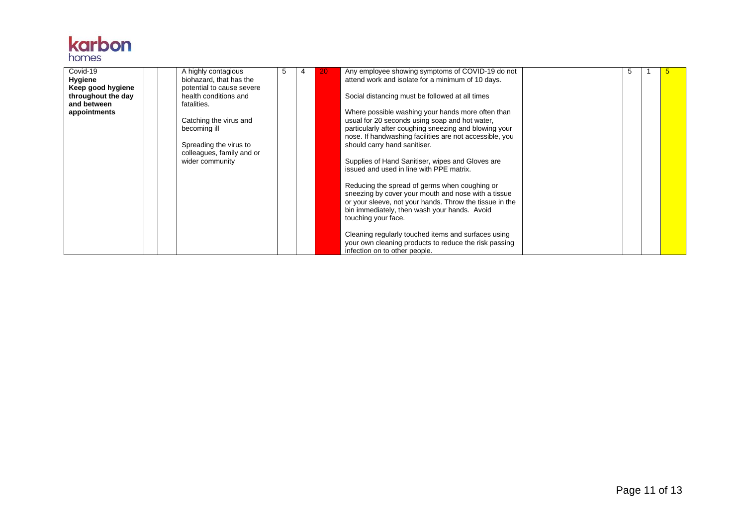

| Covid-19<br><b>Hygiene</b>        |  | A highly contagious<br>biohazard, that has the | 5 | 20 | Any employee showing symptoms of COVID-19 do not<br>attend work and isolate for a minimum of 10 days.            |  |  |
|-----------------------------------|--|------------------------------------------------|---|----|------------------------------------------------------------------------------------------------------------------|--|--|
| Keep good hygiene                 |  | potential to cause severe                      |   |    |                                                                                                                  |  |  |
| throughout the day<br>and between |  | health conditions and<br>fatalities.           |   |    | Social distancing must be followed at all times                                                                  |  |  |
| appointments                      |  |                                                |   |    | Where possible washing your hands more often than                                                                |  |  |
|                                   |  | Catching the virus and                         |   |    | usual for 20 seconds using soap and hot water,                                                                   |  |  |
|                                   |  | becoming ill                                   |   |    | particularly after coughing sneezing and blowing your<br>nose. If handwashing facilities are not accessible, you |  |  |
|                                   |  | Spreading the virus to                         |   |    | should carry hand sanitiser.                                                                                     |  |  |
|                                   |  | colleagues, family and or<br>wider community   |   |    | Supplies of Hand Sanitiser, wipes and Gloves are                                                                 |  |  |
|                                   |  |                                                |   |    | issued and used in line with PPE matrix.                                                                         |  |  |
|                                   |  |                                                |   |    |                                                                                                                  |  |  |
|                                   |  |                                                |   |    | Reducing the spread of germs when coughing or<br>sneezing by cover your mouth and nose with a tissue             |  |  |
|                                   |  |                                                |   |    | or your sleeve, not your hands. Throw the tissue in the                                                          |  |  |
|                                   |  |                                                |   |    | bin immediately, then wash your hands. Avoid<br>touching your face.                                              |  |  |
|                                   |  |                                                |   |    |                                                                                                                  |  |  |
|                                   |  |                                                |   |    | Cleaning regularly touched items and surfaces using<br>your own cleaning products to reduce the risk passing     |  |  |
|                                   |  |                                                |   |    | infection on to other people.                                                                                    |  |  |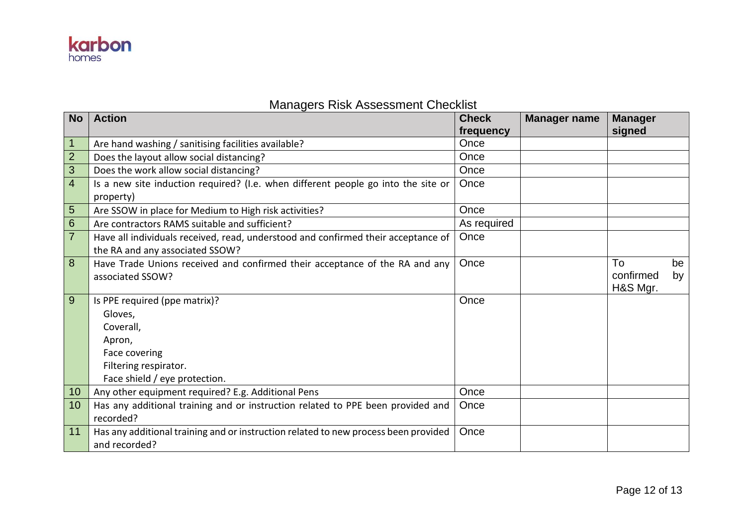

## Managers Risk Assessment Checklist

| <b>No</b>      | <b>Action</b>                                                                       | <b>Check</b><br>frequency | <b>Manager name</b> | <b>Manager</b><br>signed |    |
|----------------|-------------------------------------------------------------------------------------|---------------------------|---------------------|--------------------------|----|
| $\overline{1}$ | Are hand washing / sanitising facilities available?                                 | Once                      |                     |                          |    |
| $\overline{2}$ | Does the layout allow social distancing?                                            | Once                      |                     |                          |    |
| 3              | Does the work allow social distancing?                                              | Once                      |                     |                          |    |
| $\overline{4}$ | Is a new site induction required? (I.e. when different people go into the site or   | Once                      |                     |                          |    |
|                | property)                                                                           |                           |                     |                          |    |
| 5              | Are SSOW in place for Medium to High risk activities?                               | Once                      |                     |                          |    |
| $6\phantom{1}$ | Are contractors RAMS suitable and sufficient?                                       | As required               |                     |                          |    |
| $\overline{7}$ | Have all individuals received, read, understood and confirmed their acceptance of   | Once                      |                     |                          |    |
|                | the RA and any associated SSOW?                                                     |                           |                     |                          |    |
| 8              | Have Trade Unions received and confirmed their acceptance of the RA and any         | Once                      |                     | To                       | be |
|                | associated SSOW?                                                                    |                           |                     | confirmed                | by |
|                |                                                                                     |                           |                     | H&S Mgr.                 |    |
| 9              | Is PPE required (ppe matrix)?                                                       | Once                      |                     |                          |    |
|                | Gloves,                                                                             |                           |                     |                          |    |
|                | Coverall,                                                                           |                           |                     |                          |    |
|                | Apron,                                                                              |                           |                     |                          |    |
|                | Face covering                                                                       |                           |                     |                          |    |
|                | Filtering respirator.                                                               |                           |                     |                          |    |
|                | Face shield / eye protection.                                                       |                           |                     |                          |    |
| 10             | Any other equipment required? E.g. Additional Pens                                  | Once                      |                     |                          |    |
| 10             | Has any additional training and or instruction related to PPE been provided and     | Once                      |                     |                          |    |
|                | recorded?                                                                           |                           |                     |                          |    |
| 11             | Has any additional training and or instruction related to new process been provided | Once                      |                     |                          |    |
|                | and recorded?                                                                       |                           |                     |                          |    |